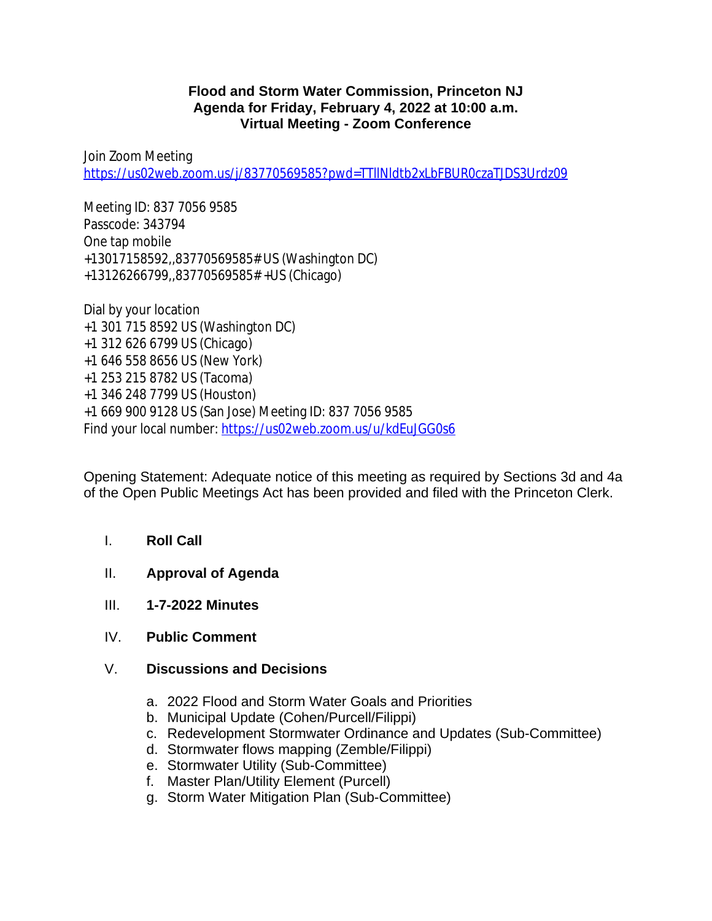## **Flood and Storm Water Commission, Princeton NJ Agenda for Friday, February 4, 2022 at 10:00 a.m. Virtual Meeting - Zoom Conference**

Join Zoom Meeting <https://us02web.zoom.us/j/83770569585?pwd=TTllNldtb2xLbFBUR0czaTJDS3Urdz09>

Meeting ID: 837 7056 9585 Passcode: 343794 One tap mobile +13017158592,,83770569585# US (Washington DC) +13126266799,,83770569585# +US (Chicago)

Dial by your location +1 301 715 8592 US (Washington DC) +1 312 626 6799 US (Chicago) +1 646 558 8656 US (New York) +1 253 215 8782 US (Tacoma) +1 346 248 7799 US (Houston) +1 669 900 9128 US (San Jose) Meeting ID: 837 7056 9585 Find your local number:<https://us02web.zoom.us/u/kdEuJGG0s6>

Opening Statement: Adequate notice of this meeting as required by Sections 3d and 4a of the Open Public Meetings Act has been provided and filed with the Princeton Clerk.

- I. **Roll Call**
- II. **Approval of Agenda**
- III. **1-7-2022 Minutes**
- IV. **Public Comment**
- V. **Discussions and Decisions**
	- a. 2022 Flood and Storm Water Goals and Priorities
	- b. Municipal Update (Cohen/Purcell/Filippi)
	- c. Redevelopment Stormwater Ordinance and Updates (Sub-Committee)
	- d. Stormwater flows mapping (Zemble/Filippi)
	- e. Stormwater Utility (Sub-Committee)
	- f. Master Plan/Utility Element (Purcell)
	- g. Storm Water Mitigation Plan (Sub-Committee)